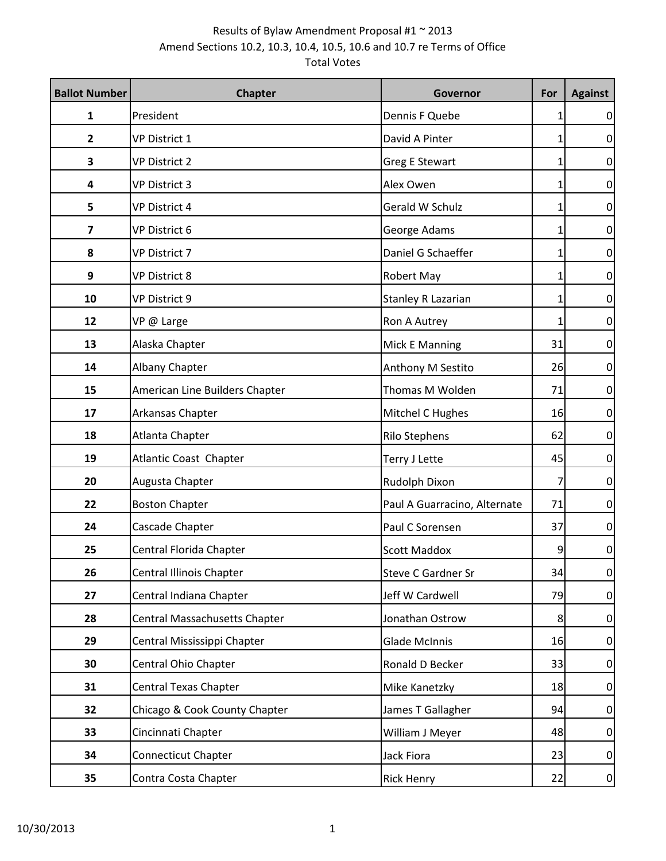| <b>Ballot Number</b>    | <b>Chapter</b>                       | Governor                     | For | <b>Against</b>  |
|-------------------------|--------------------------------------|------------------------------|-----|-----------------|
| 1                       | President                            | Dennis F Quebe               | 1   | $\vert 0 \vert$ |
| 2                       | <b>VP District 1</b>                 | David A Pinter               | 1   | $\overline{0}$  |
| 3                       | <b>VP District 2</b>                 | <b>Greg E Stewart</b>        | 1   | $\overline{0}$  |
| 4                       | <b>VP District 3</b>                 | Alex Owen                    | 1   | $\overline{0}$  |
| 5                       | <b>VP District 4</b>                 | Gerald W Schulz              | 1   | $\overline{0}$  |
| $\overline{\mathbf{z}}$ | VP District 6                        | George Adams                 | 1   | 0               |
| 8                       | <b>VP District 7</b>                 | Daniel G Schaeffer           | 1   | $\overline{0}$  |
| 9                       | <b>VP District 8</b>                 | Robert May                   | 1   | 0               |
| 10                      | VP District 9                        | Stanley R Lazarian           | 1   | $\overline{0}$  |
| 12                      | VP @ Large                           | Ron A Autrey                 | 1   | $\overline{0}$  |
| 13                      | Alaska Chapter                       | Mick E Manning               | 31  | $\overline{0}$  |
| 14                      | Albany Chapter                       | Anthony M Sestito            | 26  | $\overline{0}$  |
| 15                      | American Line Builders Chapter       | Thomas M Wolden              | 71  | $\overline{0}$  |
| 17                      | Arkansas Chapter                     | Mitchel C Hughes             | 16  | 0               |
| 18                      | Atlanta Chapter                      | Rilo Stephens                | 62  | $\overline{0}$  |
| 19                      | Atlantic Coast Chapter               | Terry J Lette                | 45  | $\overline{0}$  |
| 20                      | Augusta Chapter                      | Rudolph Dixon                | 7   | $\overline{0}$  |
| 22                      | <b>Boston Chapter</b>                | Paul A Guarracino, Alternate | 71  | $\overline{0}$  |
| 24                      | Cascade Chapter                      | Paul C Sorensen              | 37  | $\overline{0}$  |
| 25                      | Central Florida Chapter              | <b>Scott Maddox</b>          | 9   | 0               |
| 26                      | Central Illinois Chapter             | Steve C Gardner Sr           | 34  | $\overline{0}$  |
| 27                      | Central Indiana Chapter              | Jeff W Cardwell              | 79  | $\overline{0}$  |
| 28                      | <b>Central Massachusetts Chapter</b> | Jonathan Ostrow              | 8   | $\overline{0}$  |
| 29                      | Central Mississippi Chapter          | <b>Glade McInnis</b>         | 16  | $\overline{0}$  |
| 30                      | Central Ohio Chapter                 | Ronald D Becker              | 33  | $\overline{0}$  |
| 31                      | <b>Central Texas Chapter</b>         | Mike Kanetzky                | 18  | $\overline{0}$  |
| 32                      | Chicago & Cook County Chapter        | James T Gallagher            | 94  | $\overline{0}$  |
| 33                      | Cincinnati Chapter                   | William J Meyer              | 48  | $\overline{0}$  |
| 34                      | <b>Connecticut Chapter</b>           | Jack Fiora                   | 23  | 0               |
| 35                      | Contra Costa Chapter                 | <b>Rick Henry</b>            | 22  | $\overline{0}$  |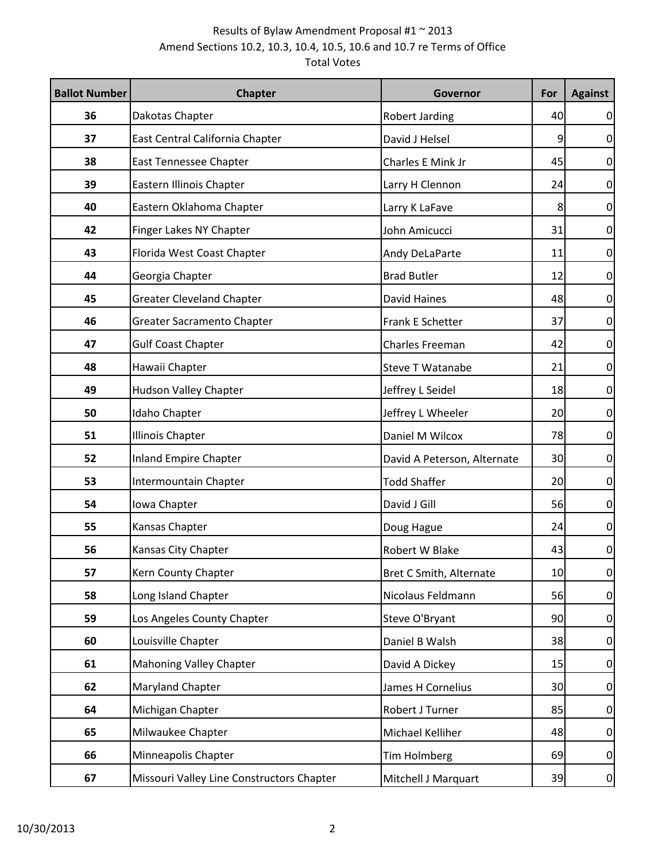| <b>Ballot Number</b> | <b>Chapter</b>                            | Governor                    | For | <b>Against</b> |
|----------------------|-------------------------------------------|-----------------------------|-----|----------------|
| 36                   | Dakotas Chapter                           | Robert Jarding              | 40  | $\overline{0}$ |
| 37                   | East Central California Chapter           | David J Helsel              | 9   | 0              |
| 38                   | East Tennessee Chapter                    | Charles E Mink Jr           | 45  | 0              |
| 39                   | Eastern Illinois Chapter                  | Larry H Clennon             | 24  | 0              |
| 40                   | Eastern Oklahoma Chapter                  | Larry K LaFave              | 8   | $\overline{0}$ |
| 42                   | Finger Lakes NY Chapter                   | John Amicucci               | 31  | $\overline{0}$ |
| 43                   | Florida West Coast Chapter                | Andy DeLaParte              | 11  | 0              |
| 44                   | Georgia Chapter                           | <b>Brad Butler</b>          | 12  | 0              |
| 45                   | <b>Greater Cleveland Chapter</b>          | <b>David Haines</b>         | 48  | $\overline{0}$ |
| 46                   | Greater Sacramento Chapter                | Frank E Schetter            | 37  | 0              |
| 47                   | <b>Gulf Coast Chapter</b>                 | <b>Charles Freeman</b>      | 42  | 0              |
| 48                   | Hawaii Chapter                            | Steve T Watanabe            | 21  | 0              |
| 49                   | Hudson Valley Chapter                     | Jeffrey L Seidel            | 18  | $\overline{0}$ |
| 50                   | Idaho Chapter                             | Jeffrey L Wheeler           | 20  | 0              |
| 51                   | <b>Illinois Chapter</b>                   | Daniel M Wilcox             | 78  | 0              |
| 52                   | <b>Inland Empire Chapter</b>              | David A Peterson, Alternate | 30  | 0              |
| 53                   | Intermountain Chapter                     | <b>Todd Shaffer</b>         | 20  | $\overline{0}$ |
| 54                   | Iowa Chapter                              | David J Gill                | 56  | 0              |
| 55                   | Kansas Chapter                            | Doug Hague                  | 24  | 0              |
| 56                   | Kansas City Chapter                       | Robert W Blake              | 43  | 0              |
| 57                   | Kern County Chapter                       | Bret C Smith, Alternate     | 10  | $\overline{0}$ |
| 58                   | Long Island Chapter                       | Nicolaus Feldmann           | 56  | $\overline{0}$ |
| 59                   | Los Angeles County Chapter                | Steve O'Bryant              | 90  | $\overline{0}$ |
| 60                   | Louisville Chapter                        | Daniel B Walsh              | 38  | $\overline{0}$ |
| 61                   | <b>Mahoning Valley Chapter</b>            | David A Dickey              | 15  | $\overline{0}$ |
| 62                   | <b>Maryland Chapter</b>                   | James H Cornelius           | 30  | $\overline{0}$ |
| 64                   | Michigan Chapter                          | Robert J Turner             | 85  | $\overline{0}$ |
| 65                   | Milwaukee Chapter                         | Michael Kelliher            | 48  | $\overline{0}$ |
| 66                   | Minneapolis Chapter                       | Tim Holmberg                | 69  | $\overline{0}$ |
| 67                   | Missouri Valley Line Constructors Chapter | Mitchell J Marquart         | 39  | $\overline{0}$ |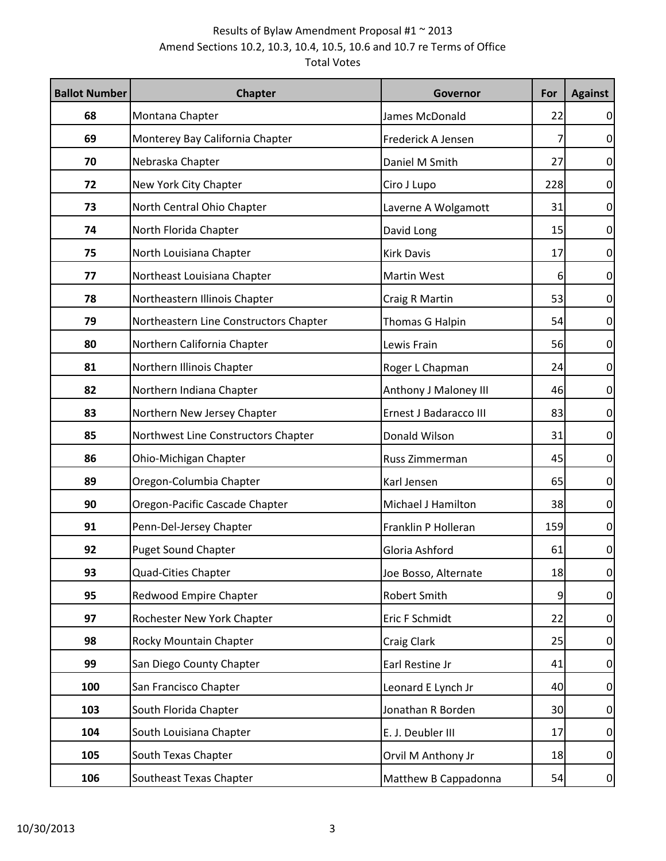| <b>Ballot Number</b> | <b>Chapter</b>                         | Governor               | For | <b>Against</b> |
|----------------------|----------------------------------------|------------------------|-----|----------------|
| 68                   | Montana Chapter                        | James McDonald         | 22  | $\overline{0}$ |
| 69                   | Monterey Bay California Chapter        | Frederick A Jensen     |     | $\overline{0}$ |
| 70                   | Nebraska Chapter                       | Daniel M Smith         | 27  | $\overline{0}$ |
| 72                   | New York City Chapter                  | Ciro J Lupo            | 228 | $\overline{0}$ |
| 73                   | North Central Ohio Chapter             | Laverne A Wolgamott    | 31  | $\overline{0}$ |
| 74                   | North Florida Chapter                  | David Long             | 15  | $\overline{0}$ |
| 75                   | North Louisiana Chapter                | <b>Kirk Davis</b>      | 17  | $\overline{0}$ |
| 77                   | Northeast Louisiana Chapter            | <b>Martin West</b>     | 6   | $\overline{0}$ |
| 78                   | Northeastern Illinois Chapter          | Craig R Martin         | 53  | $\overline{0}$ |
| 79                   | Northeastern Line Constructors Chapter | Thomas G Halpin        | 54  | $\overline{0}$ |
| 80                   | Northern California Chapter            | Lewis Frain            | 56  | $\overline{0}$ |
| 81                   | Northern Illinois Chapter              | Roger L Chapman        | 24  | $\overline{0}$ |
| 82                   | Northern Indiana Chapter               | Anthony J Maloney III  | 46  | $\overline{0}$ |
| 83                   | Northern New Jersey Chapter            | Ernest J Badaracco III | 83  | $\overline{0}$ |
| 85                   | Northwest Line Constructors Chapter    | Donald Wilson          | 31  | $\overline{0}$ |
| 86                   | Ohio-Michigan Chapter                  | Russ Zimmerman         | 45  | $\overline{0}$ |
| 89                   | Oregon-Columbia Chapter                | Karl Jensen            | 65  | $\overline{0}$ |
| 90                   | Oregon-Pacific Cascade Chapter         | Michael J Hamilton     | 38  | $\overline{0}$ |
| 91                   | Penn-Del-Jersey Chapter                | Franklin P Holleran    | 159 | $\overline{0}$ |
| 92                   | <b>Puget Sound Chapter</b>             | Gloria Ashford         | 61  | $\overline{0}$ |
| 93                   | Quad-Cities Chapter                    | Joe Bosso, Alternate   | 18  | $\overline{0}$ |
| 95                   | Redwood Empire Chapter                 | <b>Robert Smith</b>    | 9   | $\overline{0}$ |
| 97                   | Rochester New York Chapter             | Eric F Schmidt         | 22  | $\overline{0}$ |
| 98                   | Rocky Mountain Chapter                 | Craig Clark            | 25  | $\overline{0}$ |
| 99                   | San Diego County Chapter               | Earl Restine Jr        | 41  | $\overline{0}$ |
| 100                  | San Francisco Chapter                  | Leonard E Lynch Jr     | 40  | $\overline{0}$ |
| 103                  | South Florida Chapter                  | Jonathan R Borden      | 30  | $\overline{0}$ |
| 104                  | South Louisiana Chapter                | E. J. Deubler III      | 17  | $\overline{0}$ |
| 105                  | South Texas Chapter                    | Orvil M Anthony Jr     | 18  | $\overline{0}$ |
| 106                  | Southeast Texas Chapter                | Matthew B Cappadonna   | 54  | $\overline{0}$ |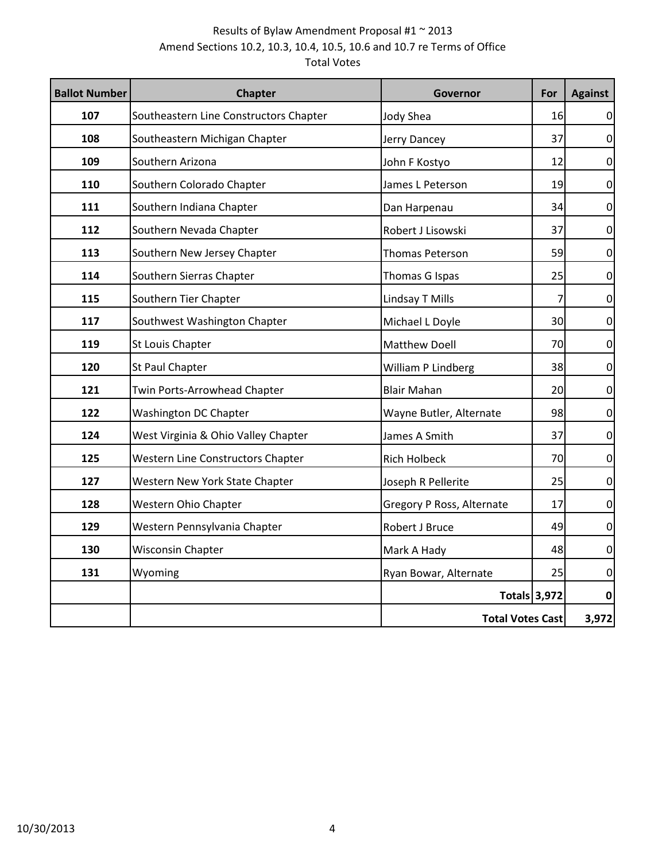| <b>Ballot Number</b> | <b>Chapter</b>                         | Governor                  | For | <b>Against</b> |
|----------------------|----------------------------------------|---------------------------|-----|----------------|
| 107                  | Southeastern Line Constructors Chapter | Jody Shea                 | 16  | $\overline{0}$ |
| 108                  | Southeastern Michigan Chapter          | Jerry Dancey              | 37  | $\overline{0}$ |
| 109                  | Southern Arizona                       | John F Kostyo             | 12  | $\overline{0}$ |
| 110                  | Southern Colorado Chapter              | James L Peterson          | 19  | 0              |
| 111                  | Southern Indiana Chapter               | Dan Harpenau              | 34  | $\overline{0}$ |
| 112                  | Southern Nevada Chapter                | Robert J Lisowski         | 37  | $\overline{0}$ |
| 113                  | Southern New Jersey Chapter            | <b>Thomas Peterson</b>    | 59  | $\overline{0}$ |
| 114                  | Southern Sierras Chapter               | Thomas G Ispas            | 25  | 0              |
| 115                  | Southern Tier Chapter                  | Lindsay T Mills           | 7   | $\overline{0}$ |
| 117                  | Southwest Washington Chapter           | Michael L Doyle           | 30  | $\overline{0}$ |
| 119                  | St Louis Chapter                       | Matthew Doell             | 70  | $\overline{0}$ |
| 120                  | St Paul Chapter                        | William P Lindberg        | 38  | $\overline{0}$ |
| 121                  | Twin Ports-Arrowhead Chapter           | <b>Blair Mahan</b>        | 20  | 0              |
| 122                  | Washington DC Chapter                  | Wayne Butler, Alternate   | 98  | $\overline{0}$ |
| 124                  | West Virginia & Ohio Valley Chapter    | James A Smith             | 37  | $\overline{0}$ |
| 125                  | Western Line Constructors Chapter      | <b>Rich Holbeck</b>       | 70  | $\overline{0}$ |
| 127                  | Western New York State Chapter         | Joseph R Pellerite        | 25  | $\overline{0}$ |
| 128                  | Western Ohio Chapter                   | Gregory P Ross, Alternate | 17  | 0              |
| 129                  | Western Pennsylvania Chapter           | Robert J Bruce            | 49  | $\overline{0}$ |
| 130                  | <b>Wisconsin Chapter</b>               | Mark A Hady               | 48  | $\overline{0}$ |
| 131                  | Wyoming                                | Ryan Bowar, Alternate     | 25  | $\overline{0}$ |
|                      |                                        | <b>Totals 3,972</b>       |     | 0              |
|                      |                                        | <b>Total Votes Cast</b>   |     | 3,972          |